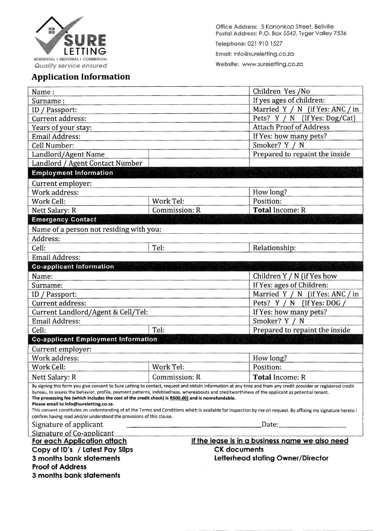

**Application Information** 

Office Address: 5 Kanonkop Street, Bellville Postal Address: P.O. Box 5542, Tyger Valley 7536 Telephone: 021 910 1527

Email: Info@sureletting.co.za

Website: www.sureletting.co.za

| Name:                                                                                                                                                                                                                                                                                                                                                                                                                                                                                                                                                                                                                                                                                                         |                                                          | Children Yes /No                |  |  |
|---------------------------------------------------------------------------------------------------------------------------------------------------------------------------------------------------------------------------------------------------------------------------------------------------------------------------------------------------------------------------------------------------------------------------------------------------------------------------------------------------------------------------------------------------------------------------------------------------------------------------------------------------------------------------------------------------------------|----------------------------------------------------------|---------------------------------|--|--|
| Surname:                                                                                                                                                                                                                                                                                                                                                                                                                                                                                                                                                                                                                                                                                                      |                                                          | If yes ages of children:        |  |  |
| ID / Passport:                                                                                                                                                                                                                                                                                                                                                                                                                                                                                                                                                                                                                                                                                                |                                                          | Married Y / N (if Yes: ANC / in |  |  |
| Current address:                                                                                                                                                                                                                                                                                                                                                                                                                                                                                                                                                                                                                                                                                              |                                                          | Pets? Y / N (If Yes: Dog/Cat)   |  |  |
| Years of your stay:                                                                                                                                                                                                                                                                                                                                                                                                                                                                                                                                                                                                                                                                                           |                                                          | <b>Attach Proof of Address</b>  |  |  |
| <b>Email Address:</b>                                                                                                                                                                                                                                                                                                                                                                                                                                                                                                                                                                                                                                                                                         |                                                          | If Yes: how many pets?          |  |  |
| Cell Number:                                                                                                                                                                                                                                                                                                                                                                                                                                                                                                                                                                                                                                                                                                  |                                                          | Smoker? Y / N                   |  |  |
| Landlord/Agent Name                                                                                                                                                                                                                                                                                                                                                                                                                                                                                                                                                                                                                                                                                           |                                                          | Prepared to repaint the inside  |  |  |
| Landlord / Agent Contact Number                                                                                                                                                                                                                                                                                                                                                                                                                                                                                                                                                                                                                                                                               |                                                          |                                 |  |  |
| <b>Employment Information</b>                                                                                                                                                                                                                                                                                                                                                                                                                                                                                                                                                                                                                                                                                 |                                                          |                                 |  |  |
| Current employer:                                                                                                                                                                                                                                                                                                                                                                                                                                                                                                                                                                                                                                                                                             |                                                          |                                 |  |  |
| Work address:                                                                                                                                                                                                                                                                                                                                                                                                                                                                                                                                                                                                                                                                                                 |                                                          | How long?                       |  |  |
| Work Cell:                                                                                                                                                                                                                                                                                                                                                                                                                                                                                                                                                                                                                                                                                                    | Work Tel:                                                | Position:                       |  |  |
| Nett Salary: R                                                                                                                                                                                                                                                                                                                                                                                                                                                                                                                                                                                                                                                                                                | Commission: R                                            | Total Income: R                 |  |  |
| <b>Emergency Contact</b>                                                                                                                                                                                                                                                                                                                                                                                                                                                                                                                                                                                                                                                                                      |                                                          |                                 |  |  |
| Name of a person not residing with you:                                                                                                                                                                                                                                                                                                                                                                                                                                                                                                                                                                                                                                                                       |                                                          |                                 |  |  |
| Address:                                                                                                                                                                                                                                                                                                                                                                                                                                                                                                                                                                                                                                                                                                      |                                                          |                                 |  |  |
| Cell:                                                                                                                                                                                                                                                                                                                                                                                                                                                                                                                                                                                                                                                                                                         | Tel:                                                     | Relationship:                   |  |  |
| <b>Email Address:</b>                                                                                                                                                                                                                                                                                                                                                                                                                                                                                                                                                                                                                                                                                         |                                                          |                                 |  |  |
| <b>Co-applicant Information</b>                                                                                                                                                                                                                                                                                                                                                                                                                                                                                                                                                                                                                                                                               |                                                          |                                 |  |  |
| Name:                                                                                                                                                                                                                                                                                                                                                                                                                                                                                                                                                                                                                                                                                                         |                                                          | Children Y / N (if Yes how      |  |  |
| Surname:                                                                                                                                                                                                                                                                                                                                                                                                                                                                                                                                                                                                                                                                                                      |                                                          | If Yes: ages of Children:       |  |  |
| ID / Passport:                                                                                                                                                                                                                                                                                                                                                                                                                                                                                                                                                                                                                                                                                                |                                                          | Married Y / N (if Yes: ANC / in |  |  |
| Current address:                                                                                                                                                                                                                                                                                                                                                                                                                                                                                                                                                                                                                                                                                              |                                                          | Pets? Y / N (If Yes: DOG /      |  |  |
| Current Landlord/Agent & Cell/Tel:                                                                                                                                                                                                                                                                                                                                                                                                                                                                                                                                                                                                                                                                            |                                                          | If Yes: how many pets?          |  |  |
| Email Address:                                                                                                                                                                                                                                                                                                                                                                                                                                                                                                                                                                                                                                                                                                |                                                          | Smoker? Y / N                   |  |  |
| Cell:                                                                                                                                                                                                                                                                                                                                                                                                                                                                                                                                                                                                                                                                                                         | Tel:                                                     | Prepared to repaint the inside  |  |  |
| <b>Co-applicant Employment Information</b>                                                                                                                                                                                                                                                                                                                                                                                                                                                                                                                                                                                                                                                                    |                                                          |                                 |  |  |
| Current employer:                                                                                                                                                                                                                                                                                                                                                                                                                                                                                                                                                                                                                                                                                             |                                                          |                                 |  |  |
| Work address:                                                                                                                                                                                                                                                                                                                                                                                                                                                                                                                                                                                                                                                                                                 |                                                          | How long?                       |  |  |
| Work Cell:                                                                                                                                                                                                                                                                                                                                                                                                                                                                                                                                                                                                                                                                                                    | Work Tel:                                                | Position:                       |  |  |
| Nett Salary: R                                                                                                                                                                                                                                                                                                                                                                                                                                                                                                                                                                                                                                                                                                | Commission: R                                            | <b>Total Income: R</b>          |  |  |
| By signing this form you give consent to Sure Letting to contact, request and obtain information at any time and from any credit provider or registered credit<br>bureau, to assess the behavior, profile, payment patterns, indebtedness, whereabouts and creditworthiness of the applicant as potential tenant.<br>The processing fee (which includes the cost of the credit check) is R500.00) and is nonrefundable.<br>Please email to info@sureletting.co.za.<br>This consent constitutes an understanding of all the Terms and Conditions which is available for inspection by me on request. By affixing my signature hereto I<br>confirm having read and/or understood the provisions of this clause. |                                                          |                                 |  |  |
| Signature of applicant                                                                                                                                                                                                                                                                                                                                                                                                                                                                                                                                                                                                                                                                                        |                                                          | Date: $\qquad \qquad$           |  |  |
| Signature of Co-applicant                                                                                                                                                                                                                                                                                                                                                                                                                                                                                                                                                                                                                                                                                     |                                                          |                                 |  |  |
| <b>For each Application attach</b>                                                                                                                                                                                                                                                                                                                                                                                                                                                                                                                                                                                                                                                                            | If the lease is in a business name we also need          |                                 |  |  |
| Copy of ID's / Latest Pay Slips                                                                                                                                                                                                                                                                                                                                                                                                                                                                                                                                                                                                                                                                               | <b>CK documents</b><br>Letterhead stating Owner/Director |                                 |  |  |
| 3 months bank statements                                                                                                                                                                                                                                                                                                                                                                                                                                                                                                                                                                                                                                                                                      |                                                          |                                 |  |  |
| <b>Proof of Address</b>                                                                                                                                                                                                                                                                                                                                                                                                                                                                                                                                                                                                                                                                                       |                                                          |                                 |  |  |
| 3 months bank statements                                                                                                                                                                                                                                                                                                                                                                                                                                                                                                                                                                                                                                                                                      |                                                          |                                 |  |  |